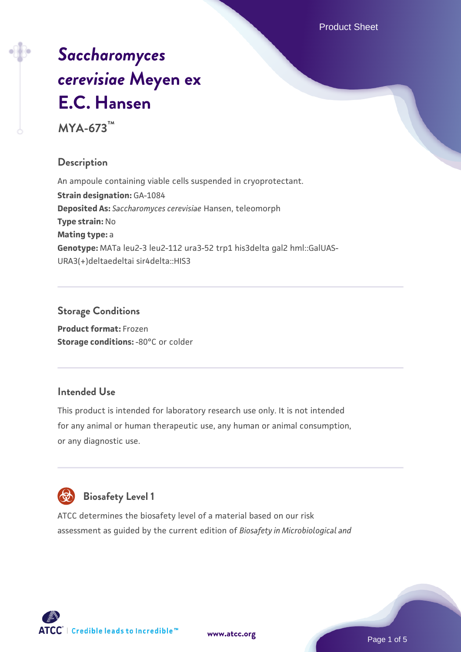# *[Saccharomyces](https://www.atcc.org/products/mya-673) [cerevisiae](https://www.atcc.org/products/mya-673)* **[Meyen ex](https://www.atcc.org/products/mya-673) [E.C. Hansen](https://www.atcc.org/products/mya-673)**

**MYA-673™**

# **Description**

An ampoule containing viable cells suspended in cryoprotectant. **Strain designation:** GA-1084 **Deposited As:** *Saccharomyces cerevisiae* Hansen, teleomorph **Type strain:** No **Mating type:** a **Genotype:** MATa leu2-3 leu2-112 ura3-52 trp1 his3delta gal2 hml::GalUAS-URA3(+)deltaedeltai sir4delta::HIS3

# **Storage Conditions**

**Product format:** Frozen **Storage conditions: -80°C or colder** 

# **Intended Use**

This product is intended for laboratory research use only. It is not intended for any animal or human therapeutic use, any human or animal consumption, or any diagnostic use.



# **Biosafety Level 1**

ATCC determines the biosafety level of a material based on our risk assessment as guided by the current edition of *Biosafety in Microbiological and*

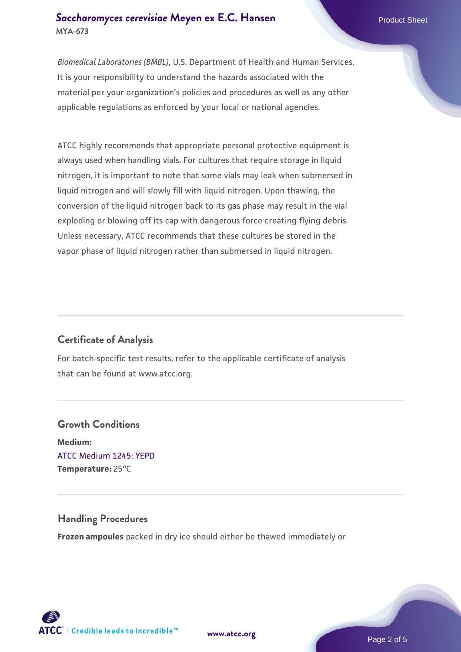#### **[Saccharomyces cerevisiae](https://www.atcc.org/products/mya-673)** [Meyen ex E.C. Hansen](https://www.atcc.org/products/mya-673) **MYA-673**

*Biomedical Laboratories (BMBL)*, U.S. Department of Health and Human Services. It is your responsibility to understand the hazards associated with the material per your organization's policies and procedures as well as any other applicable regulations as enforced by your local or national agencies.

ATCC highly recommends that appropriate personal protective equipment is always used when handling vials. For cultures that require storage in liquid nitrogen, it is important to note that some vials may leak when submersed in liquid nitrogen and will slowly fill with liquid nitrogen. Upon thawing, the conversion of the liquid nitrogen back to its gas phase may result in the vial exploding or blowing off its cap with dangerous force creating flying debris. Unless necessary, ATCC recommends that these cultures be stored in the vapor phase of liquid nitrogen rather than submersed in liquid nitrogen.

# **Certificate of Analysis**

For batch-specific test results, refer to the applicable certificate of analysis that can be found at www.atcc.org.

# **Growth Conditions Medium:**  [ATCC Medium 1245: YEPD](https://www.atcc.org/-/media/product-assets/documents/microbial-media-formulations/1/2/4/5/atcc-medium-1245.pdf?rev=705ca55d1b6f490a808a965d5c072196) **Temperature:** 25°C

# **Handling Procedures**

**Frozen ampoules** packed in dry ice should either be thawed immediately or

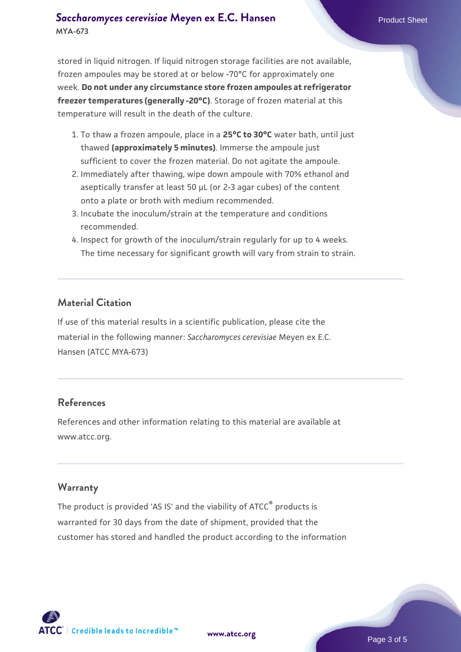### **[Saccharomyces cerevisiae](https://www.atcc.org/products/mya-673)** [Meyen ex E.C. Hansen](https://www.atcc.org/products/mya-673) **MYA-673**

stored in liquid nitrogen. If liquid nitrogen storage facilities are not available, frozen ampoules may be stored at or below -70°C for approximately one week. **Do not under any circumstance store frozen ampoules at refrigerator freezer temperatures (generally -20°C)**. Storage of frozen material at this temperature will result in the death of the culture.

- 1. To thaw a frozen ampoule, place in a **25°C to 30°C** water bath, until just thawed **(approximately 5 minutes)**. Immerse the ampoule just sufficient to cover the frozen material. Do not agitate the ampoule.
- 2. Immediately after thawing, wipe down ampoule with 70% ethanol and aseptically transfer at least 50 µL (or 2-3 agar cubes) of the content onto a plate or broth with medium recommended.
- 3. Incubate the inoculum/strain at the temperature and conditions recommended.
- 4. Inspect for growth of the inoculum/strain regularly for up to 4 weeks. The time necessary for significant growth will vary from strain to strain.

#### **Material Citation**

If use of this material results in a scientific publication, please cite the material in the following manner: *Saccharomyces cerevisiae* Meyen ex E.C. Hansen (ATCC MYA-673)

#### **References**

References and other information relating to this material are available at www.atcc.org.

#### **Warranty**

The product is provided 'AS IS' and the viability of ATCC® products is warranted for 30 days from the date of shipment, provided that the customer has stored and handled the product according to the information

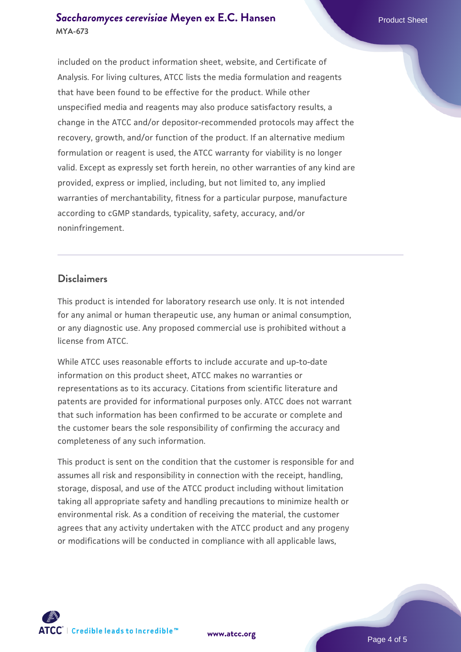#### **[Saccharomyces cerevisiae](https://www.atcc.org/products/mya-673)** [Meyen ex E.C. Hansen](https://www.atcc.org/products/mya-673) **MYA-673**

included on the product information sheet, website, and Certificate of Analysis. For living cultures, ATCC lists the media formulation and reagents that have been found to be effective for the product. While other unspecified media and reagents may also produce satisfactory results, a change in the ATCC and/or depositor-recommended protocols may affect the recovery, growth, and/or function of the product. If an alternative medium formulation or reagent is used, the ATCC warranty for viability is no longer valid. Except as expressly set forth herein, no other warranties of any kind are provided, express or implied, including, but not limited to, any implied warranties of merchantability, fitness for a particular purpose, manufacture according to cGMP standards, typicality, safety, accuracy, and/or noninfringement.

#### **Disclaimers**

This product is intended for laboratory research use only. It is not intended for any animal or human therapeutic use, any human or animal consumption, or any diagnostic use. Any proposed commercial use is prohibited without a license from ATCC.

While ATCC uses reasonable efforts to include accurate and up-to-date information on this product sheet, ATCC makes no warranties or representations as to its accuracy. Citations from scientific literature and patents are provided for informational purposes only. ATCC does not warrant that such information has been confirmed to be accurate or complete and the customer bears the sole responsibility of confirming the accuracy and completeness of any such information.

This product is sent on the condition that the customer is responsible for and assumes all risk and responsibility in connection with the receipt, handling, storage, disposal, and use of the ATCC product including without limitation taking all appropriate safety and handling precautions to minimize health or environmental risk. As a condition of receiving the material, the customer agrees that any activity undertaken with the ATCC product and any progeny or modifications will be conducted in compliance with all applicable laws,



**[www.atcc.org](http://www.atcc.org)**

Page 4 of 5